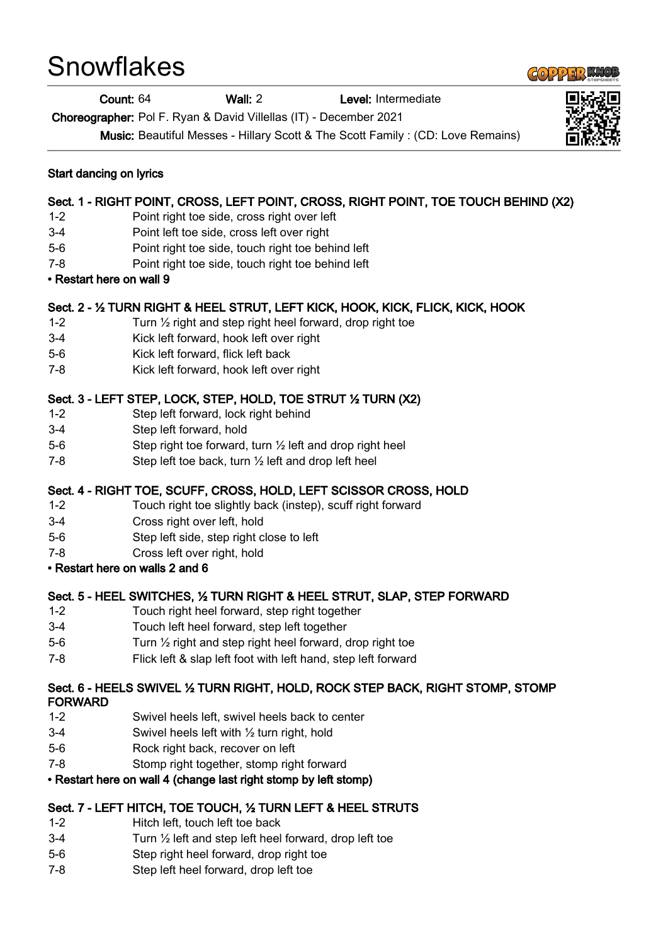# **Snowflakes**

#### Count: 64 Wall: 2 Level: Intermediate

Choreographer: Pol F. Ryan & David Villellas (IT) - December 2021

Music: Beautiful Messes - Hillary Scott & The Scott Family : (CD: Love Remains)

# Sect. 1 - RIGHT POINT, CROSS, LEFT POINT, CROSS, RIGHT POINT, TOE TOUCH BEHIND (X2)

- 1-2 Point right toe side, cross right over left
- 3-4 Point left toe side, cross left over right
- 5-6 Point right toe side, touch right toe behind left
- 7-8 Point right toe side, touch right toe behind left

#### • Restart here on wall 9

#### Sect. 2 - ½ TURN RIGHT & HEEL STRUT, LEFT KICK, HOOK, KICK, FLICK, KICK, HOOK

- 1-2 Turn ½ right and step right heel forward, drop right toe
- 3-4 Kick left forward, hook left over right
- 5-6 Kick left forward, flick left back
- 7-8 Kick left forward, hook left over right

## Sect. 3 - LEFT STEP, LOCK, STEP, HOLD, TOE STRUT ½ TURN (X2)

- 1-2 Step left forward, lock right behind
- 3-4 Step left forward, hold
- 5-6 Step right toe forward, turn ½ left and drop right heel
- 7-8 Step left toe back, turn ½ left and drop left heel

## Sect. 4 - RIGHT TOE, SCUFF, CROSS, HOLD, LEFT SCISSOR CROSS, HOLD

- 1-2 Touch right toe slightly back (instep), scuff right forward
- 3-4 Cross right over left, hold
- 5-6 Step left side, step right close to left
- 7-8 Cross left over right, hold
- Restart here on walls 2 and 6

# Sect. 5 - HEEL SWITCHES, ½ TURN RIGHT & HEEL STRUT, SLAP, STEP FORWARD

- 1-2 Touch right heel forward, step right together
- 3-4 Touch left heel forward, step left together
- 5-6 Turn ½ right and step right heel forward, drop right toe
- 7-8 Flick left & slap left foot with left hand, step left forward

#### Sect. 6 - HEELS SWIVEL ½ TURN RIGHT, HOLD, ROCK STEP BACK, RIGHT STOMP, STOMP FORWARD

- 1-2 Swivel heels left, swivel heels back to center
- 3-4 Swivel heels left with ½ turn right, hold
- 5-6 Rock right back, recover on left
- 7-8 Stomp right together, stomp right forward

## • Restart here on wall 4 (change last right stomp by left stomp)

## Sect. 7 - LEFT HITCH, TOE TOUCH, ½ TURN LEFT & HEEL STRUTS

- 1-2 Hitch left, touch left toe back
- 3-4 Turn ½ left and step left heel forward, drop left toe
- 5-6 Step right heel forward, drop right toe
- 7-8 Step left heel forward, drop left toe